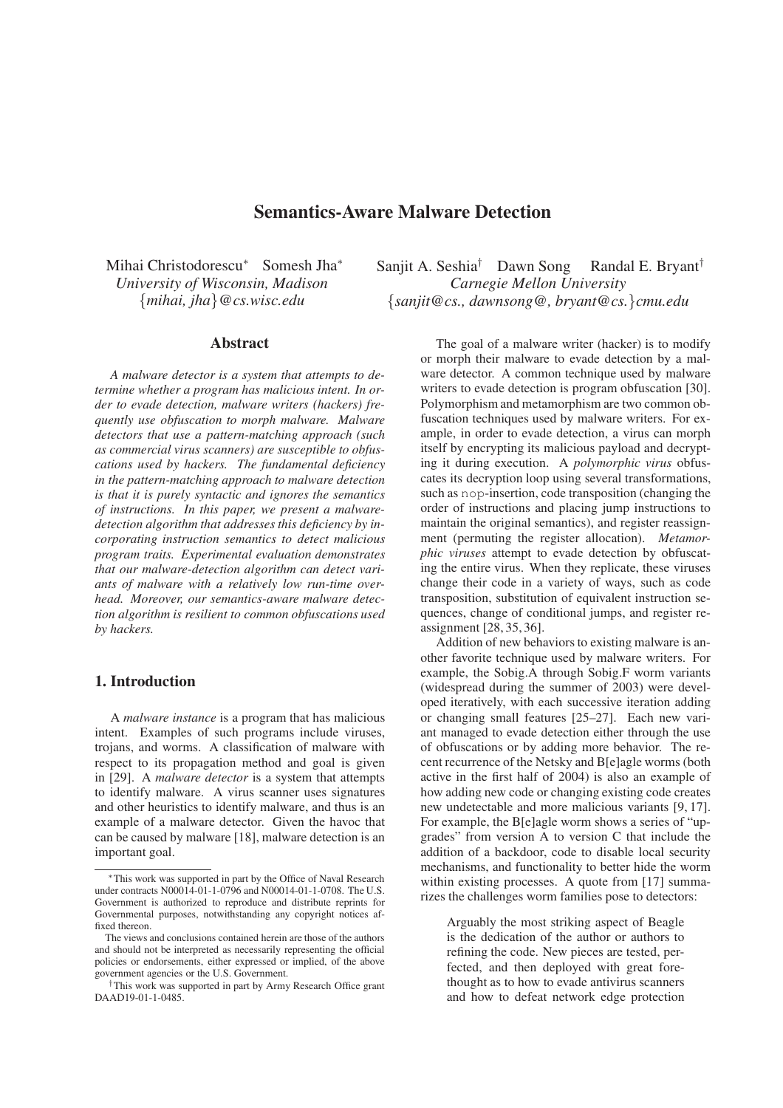# **Semantics-Aware Malware Detection**

Mihai Christodorescu<sup>∗</sup> Somesh Jha<sup>∗</sup> *University of Wisconsin, Madison* {*mihai, jha*}*@cs.wisc.edu*

#### **Abstract**

*A malware detector is a system that attempts to determine whether a program has malicious intent. In order to evade detection, malware writers (hackers) frequently use obfuscation to morph malware. Malware detectors that use a pattern-matching approach (such as commercial virus scanners) are susceptible to obfuscations used by hackers. The fundamental deficiency in the pattern-matching approach to malware detection is that it is purely syntactic and ignores the semantics of instructions. In this paper, we present a malwaredetection algorithm that addresses this deficiency by incorporating instruction semantics to detect malicious program traits. Experimental evaluation demonstrates that our malware-detection algorithm can detect variants of malware with a relatively low run-time overhead. Moreover, our semantics-aware malware detection algorithm is resilient to common obfuscations used by hackers.*

## **1. Introduction**

A *malware instance* is a program that has malicious intent. Examples of such programs include viruses, trojans, and worms. A classification of malware with respect to its propagation method and goal is given in [29]. A *malware detector* is a system that attempts to identify malware. A virus scanner uses signatures and other heuristics to identify malware, and thus is an example of a malware detector. Given the havoc that can be caused by malware [18], malware detection is an important goal.

Sanjit A. Seshia<sup>†</sup> Dawn Song Randal E. Bryant<sup>†</sup> *Carnegie Mellon University* {*sanjit@cs., dawnsong@, bryant@cs.*}*cmu.edu*

> The goal of a malware writer (hacker) is to modify or morph their malware to evade detection by a malware detector. A common technique used by malware writers to evade detection is program obfuscation [30]. Polymorphism and metamorphism are two common obfuscation techniques used by malware writers. For example, in order to evade detection, a virus can morph itself by encrypting its malicious payload and decrypting it during execution. A *polymorphic virus* obfuscates its decryption loop using several transformations, such as nop-insertion, code transposition (changing the order of instructions and placing jump instructions to maintain the original semantics), and register reassignment (permuting the register allocation). *Metamorphic viruses* attempt to evade detection by obfuscating the entire virus. When they replicate, these viruses change their code in a variety of ways, such as code transposition, substitution of equivalent instruction sequences, change of conditional jumps, and register reassignment [28, 35, 36].

> Addition of new behaviors to existing malware is another favorite technique used by malware writers. For example, the Sobig.A through Sobig.F worm variants (widespread during the summer of 2003) were developed iteratively, with each successive iteration adding or changing small features [25–27]. Each new variant managed to evade detection either through the use of obfuscations or by adding more behavior. The recent recurrence of the Netsky and B[e]agle worms (both active in the first half of 2004) is also an example of how adding new code or changing existing code creates new undetectable and more malicious variants [9, 17]. For example, the B[e]agle worm shows a series of "upgrades" from version A to version C that include the addition of a backdoor, code to disable local security mechanisms, and functionality to better hide the worm within existing processes. A quote from [17] summarizes the challenges worm families pose to detectors:

Arguably the most striking aspect of Beagle is the dedication of the author or authors to refining the code. New pieces are tested, perfected, and then deployed with great forethought as to how to evade antivirus scanners and how to defeat network edge protection

<sup>∗</sup>This work was supported in part by the Office of Naval Research under contracts N00014-01-1-0796 and N00014-01-1-0708. The U.S. Government is authorized to reproduce and distribute reprints for Governmental purposes, notwithstanding any copyright notices affixed thereon.

The views and conclusions contained herein are those of the authors and should not be interpreted as necessarily representing the official policies or endorsements, either expressed or implied, of the above government agencies or the U.S. Government.

<sup>†</sup>This work was supported in part by Army Research Office grant DAAD19-01-1-0485.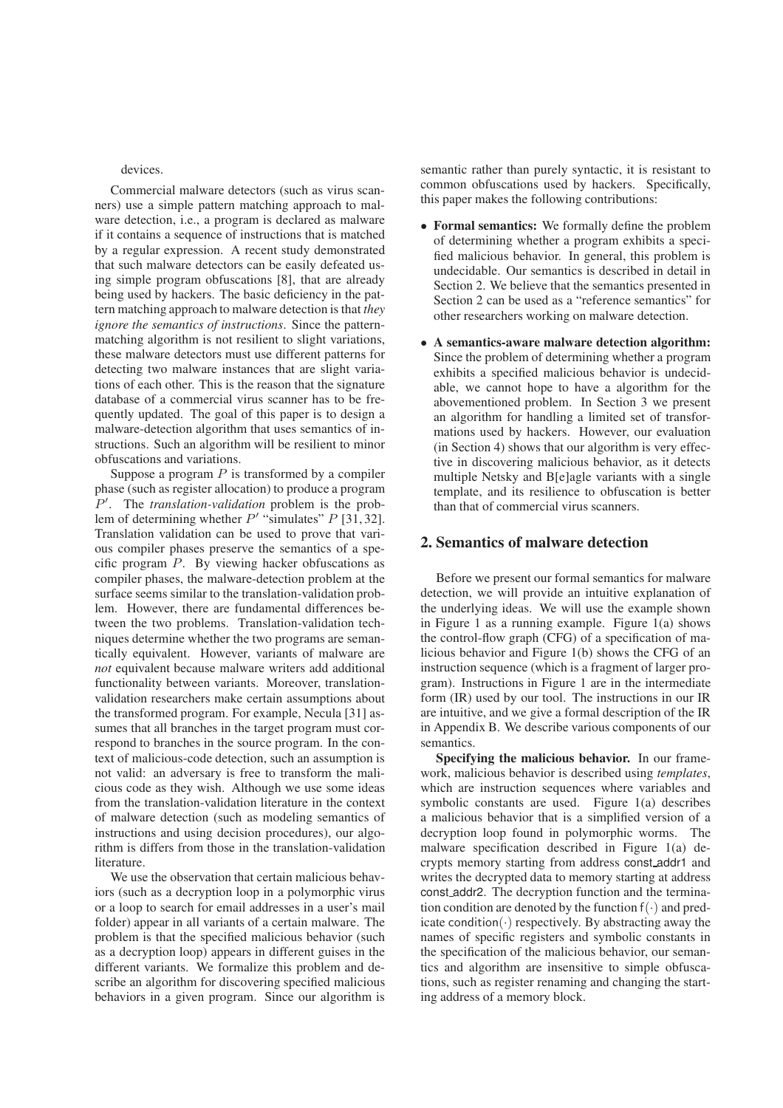devices.

Commercial malware detectors (such as virus scanners) use a simple pattern matching approach to malware detection, i.e., a program is declared as malware if it contains a sequence of instructions that is matched by a regular expression. A recent study demonstrated that such malware detectors can be easily defeated using simple program obfuscations [8], that are already being used by hackers. The basic deficiency in the pattern matching approach to malware detection is that *they ignore the semantics of instructions*. Since the patternmatching algorithm is not resilient to slight variations, these malware detectors must use different patterns for detecting two malware instances that are slight variations of each other. This is the reason that the signature database of a commercial virus scanner has to be frequently updated. The goal of this paper is to design a malware-detection algorithm that uses semantics of instructions. Such an algorithm will be resilient to minor obfuscations and variations.

Suppose a program  $P$  is transformed by a compiler phase (such as register allocation) to produce a program P ′ . The *translation-validation* problem is the problem of determining whether  $P'$  "simulates"  $P$  [31,32]. Translation validation can be used to prove that various compiler phases preserve the semantics of a specific program P. By viewing hacker obfuscations as compiler phases, the malware-detection problem at the surface seems similar to the translation-validation problem. However, there are fundamental differences between the two problems. Translation-validation techniques determine whether the two programs are semantically equivalent. However, variants of malware are *not* equivalent because malware writers add additional functionality between variants. Moreover, translationvalidation researchers make certain assumptions about the transformed program. For example, Necula [31] assumes that all branches in the target program must correspond to branches in the source program. In the context of malicious-code detection, such an assumption is not valid: an adversary is free to transform the malicious code as they wish. Although we use some ideas from the translation-validation literature in the context of malware detection (such as modeling semantics of instructions and using decision procedures), our algorithm is differs from those in the translation-validation literature.

We use the observation that certain malicious behaviors (such as a decryption loop in a polymorphic virus or a loop to search for email addresses in a user's mail folder) appear in all variants of a certain malware. The problem is that the specified malicious behavior (such as a decryption loop) appears in different guises in the different variants. We formalize this problem and describe an algorithm for discovering specified malicious behaviors in a given program. Since our algorithm is semantic rather than purely syntactic, it is resistant to common obfuscations used by hackers. Specifically, this paper makes the following contributions:

- **Formal semantics:** We formally define the problem of determining whether a program exhibits a specified malicious behavior. In general, this problem is undecidable. Our semantics is described in detail in Section 2. We believe that the semantics presented in Section 2 can be used as a "reference semantics" for other researchers working on malware detection.
- **A semantics-aware malware detection algorithm:** Since the problem of determining whether a program exhibits a specified malicious behavior is undecidable, we cannot hope to have a algorithm for the abovementioned problem. In Section 3 we present an algorithm for handling a limited set of transformations used by hackers. However, our evaluation (in Section 4) shows that our algorithm is very effective in discovering malicious behavior, as it detects multiple Netsky and B[e]agle variants with a single template, and its resilience to obfuscation is better than that of commercial virus scanners.

## **2. Semantics of malware detection**

Before we present our formal semantics for malware detection, we will provide an intuitive explanation of the underlying ideas. We will use the example shown in Figure 1 as a running example. Figure 1(a) shows the control-flow graph (CFG) of a specification of malicious behavior and Figure 1(b) shows the CFG of an instruction sequence (which is a fragment of larger program). Instructions in Figure 1 are in the intermediate form (IR) used by our tool. The instructions in our IR are intuitive, and we give a formal description of the IR in Appendix B. We describe various components of our semantics.

**Specifying the malicious behavior.** In our framework, malicious behavior is described using *templates*, which are instruction sequences where variables and symbolic constants are used. Figure 1(a) describes a malicious behavior that is a simplified version of a decryption loop found in polymorphic worms. The malware specification described in Figure 1(a) decrypts memory starting from address const addr1 and writes the decrypted data to memory starting at address const addr2. The decryption function and the termination condition are denoted by the function  $f(\cdot)$  and predicate condition( $\cdot$ ) respectively. By abstracting away the names of specific registers and symbolic constants in the specification of the malicious behavior, our semantics and algorithm are insensitive to simple obfuscations, such as register renaming and changing the starting address of a memory block.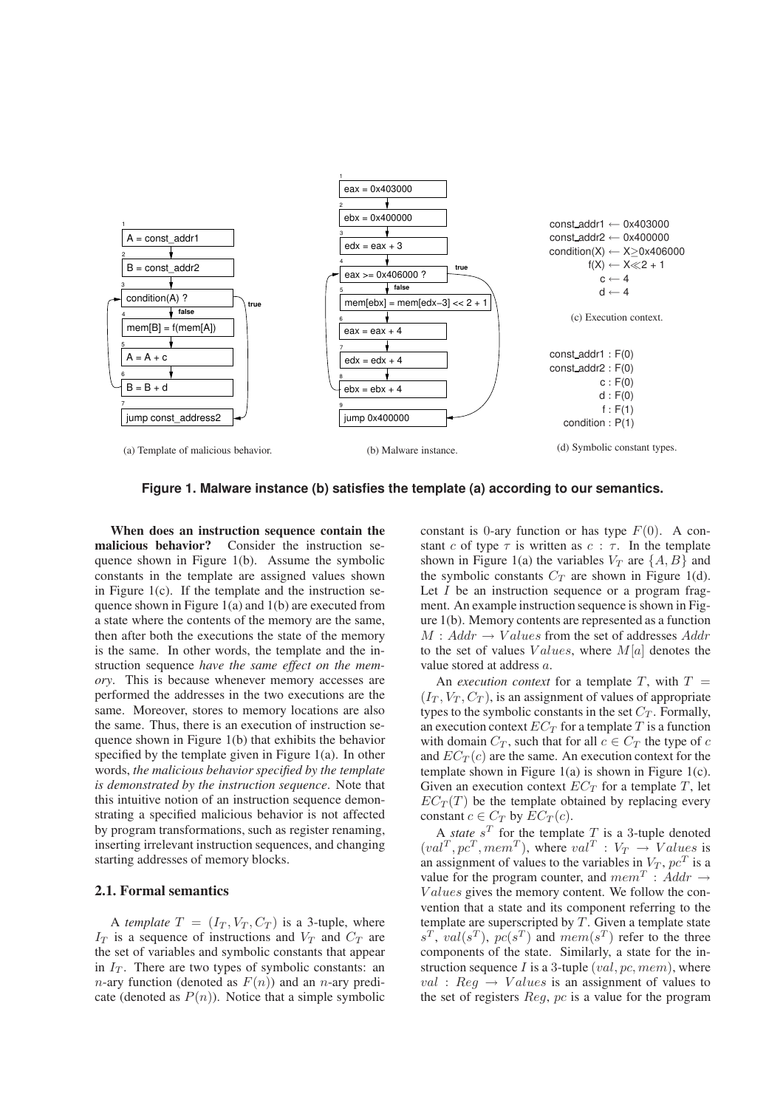

**Figure 1. Malware instance (b) satisfies the template (a) according to our semantics.**

**When does an instruction sequence contain the malicious behavior?** Consider the instruction sequence shown in Figure 1(b). Assume the symbolic constants in the template are assigned values shown in Figure  $1(c)$ . If the template and the instruction sequence shown in Figure 1(a) and 1(b) are executed from a state where the contents of the memory are the same, then after both the executions the state of the memory is the same. In other words, the template and the instruction sequence *have the same effect on the memory*. This is because whenever memory accesses are performed the addresses in the two executions are the same. Moreover, stores to memory locations are also the same. Thus, there is an execution of instruction sequence shown in Figure 1(b) that exhibits the behavior specified by the template given in Figure 1(a). In other words, *the malicious behavior specified by the template is demonstrated by the instruction sequence*. Note that this intuitive notion of an instruction sequence demonstrating a specified malicious behavior is not affected by program transformations, such as register renaming, inserting irrelevant instruction sequences, and changing starting addresses of memory blocks.

## **2.1. Formal semantics**

A *template*  $T = (I_T, V_T, C_T)$  is a 3-tuple, where  $I_T$  is a sequence of instructions and  $V_T$  and  $C_T$  are the set of variables and symbolic constants that appear in  $I_T$ . There are two types of symbolic constants: an *n*-ary function (denoted as  $F(n)$ ) and an *n*-ary predicate (denoted as  $P(n)$ ). Notice that a simple symbolic constant is 0-ary function or has type  $F(0)$ . A constant c of type  $\tau$  is written as  $c : \tau$ . In the template shown in Figure 1(a) the variables  $V_T$  are  $\{A, B\}$  and the symbolic constants  $C_T$  are shown in Figure 1(d). Let  $I$  be an instruction sequence or a program fragment. An example instruction sequence is shown in Figure 1(b). Memory contents are represented as a function  $M: Addr \rightarrow Values$  from the set of addresses  $Addr$ to the set of values  $Values$ , where  $M[a]$  denotes the value stored at address a.

An *execution context* for a template T, with  $T =$  $(I_T, V_T, C_T)$ , is an assignment of values of appropriate types to the symbolic constants in the set  $C_T$ . Formally, an execution context  $EC_T$  for a template T is a function with domain  $C_T$ , such that for all  $c \in C_T$  the type of c and  $EC_T(c)$  are the same. An execution context for the template shown in Figure  $1(a)$  is shown in Figure  $1(c)$ . Given an execution context  $EC_T$  for a template T, let  $EC_T(T)$  be the template obtained by replacing every constant  $c \in C_T$  by  $EC_T(c)$ .

A *state*  $s^T$  for the template  $T$  is a 3-tuple denoted  $(val^T, pc^T, mem^T)$ , where  $val^T : V_T \rightarrow Values$  is an assignment of values to the variables in  $V_T$ ,  $pc^T$  is a value for the program counter, and  $mem^T : Addr \rightarrow$ Values gives the memory content. We follow the convention that a state and its component referring to the template are superscripted by  $T$ . Given a template state  $s^T$ ,  $val(s^T)$ ,  $pc(s^T)$  and  $mem(s^T)$  refer to the three components of the state. Similarly, a state for the instruction sequence I is a 3-tuple  $(val, pc, mem)$ , where val :  $Reg \rightarrow Values$  is an assignment of values to the set of registers Reg, pc is a value for the program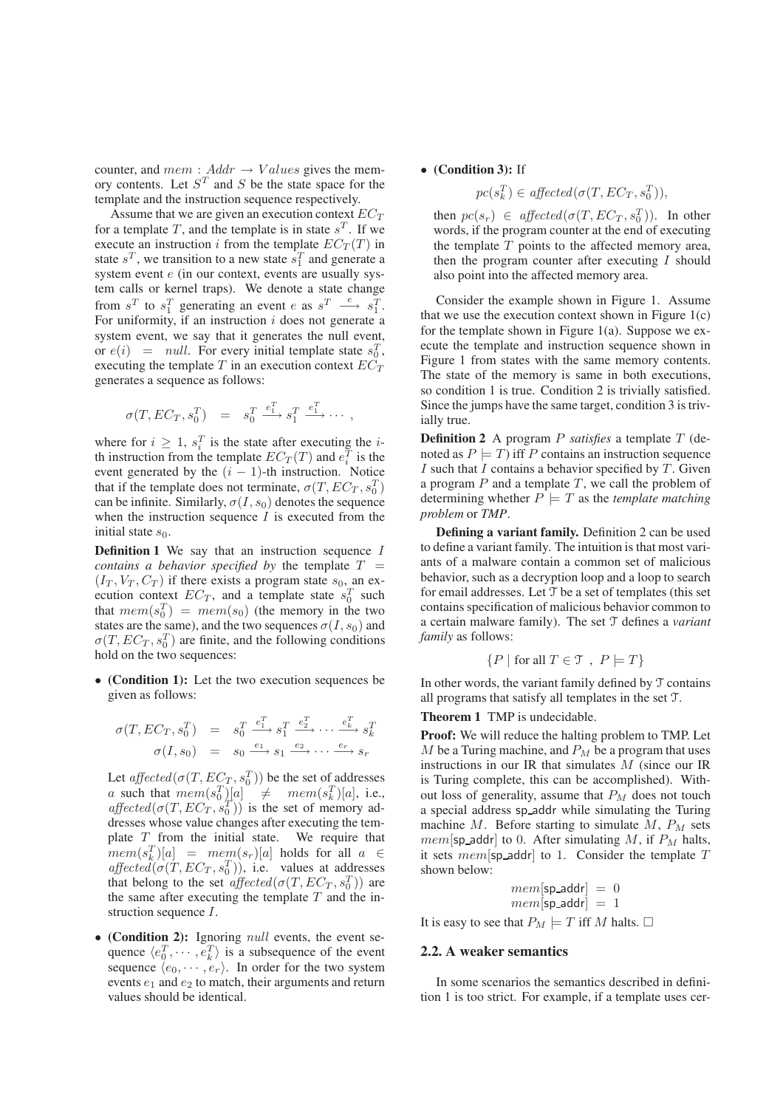counter, and mem :  $Addr \rightarrow Values$  gives the memory contents. Let  $S<sup>T</sup>$  and S be the state space for the template and the instruction sequence respectively.

Assume that we are given an execution context  $EC_T$ for a template T, and the template is in state  $s^T$ . If we execute an instruction i from the template  $EC_T(T)$  in state  $s^T$ , we transition to a new state  $s_1^T$  and generate a system event e (in our context, events are usually system calls or kernel traps). We denote a state change from  $s^T$  to  $s_1^T$  generating an event e as  $s^T \stackrel{e}{\longrightarrow} s_1^T$ . For uniformity, if an instruction  $i$  does not generate a system event, we say that it generates the null event, or  $e(i)$  = *null*. For every initial template state  $s_0^T$ , executing the template  $T$  in an execution context  $EC_T$ generates a sequence as follows:

$$
\sigma(T, EC_T, s_0^T) = s_0^T \xrightarrow{e_1^T} s_1^T \xrightarrow{e_1^T} \cdots,
$$

where for  $i \geq 1$ ,  $s_i^T$  is the state after executing the *i*th instruction from the template  $EC_T(T)$  and  $e_i^{\overline{T}}$  is the event generated by the  $(i - 1)$ -th instruction. Notice that if the template does not terminate,  $\sigma(T, EC_T, s_0^T)$ can be infinite. Similarly,  $\sigma(I, s_0)$  denotes the sequence when the instruction sequence  $I$  is executed from the initial state  $s_0$ .

**Definition 1** We say that an instruction sequence I *contains a behavior specified by the template*  $T =$  $(I_T, V_T, C_T)$  if there exists a program state  $s_0$ , an execution context  $EC_T$ , and a template state  $s_0^T$  such that  $mem(s_0^T) = mem(s_0)$  (the memory in the two states are the same), and the two sequences  $\sigma(I, s_0)$  and  $\sigma(T, EC_T, s_0^T)$  are finite, and the following conditions hold on the two sequences:

• **(Condition 1):** Let the two execution sequences be given as follows:

$$
\sigma(T, EC_T, s_0^T) = s_0^T \xrightarrow{e_1^T} s_1^T \xrightarrow{e_2^T} \cdots \xrightarrow{e_k^T} s_k^T
$$

$$
\sigma(I, s_0) = s_0 \xrightarrow{e_1} s_1 \xrightarrow{e_2} \cdots \xrightarrow{e_r} s_r
$$

Let  $\textit{affected}(\sigma(T, EC_T, s_0^T))$  be the set of addresses a such that  $mem(s_0^T)[a] \neq mem(s_k^T)[a]$ , i.e., affected( $\sigma(T, EC_T, s_0^T)$ ) is the set of memory addresses whose value changes after executing the template  $T$  from the initial state. We require that  $\begin{array}{rcl} \n\text{mem}(s_k^T)[a] & = & \text{mem}(s_r)[a] \text{ holds for all } a \in \mathbb{R} \n\end{array}$ affected  $(\sigma(T, EC_T, s_0^T))$ , i.e. values at addresses that belong to the set affected  $(\sigma(T, EC_T, s_0^T))$  are the same after executing the template  $T$  and the instruction sequence I.

• **(Condition 2):** Ignoring *null* events, the event sequence  $\langle e_0^T, \cdots, e_k^T \rangle$  is a subsequence of the event sequence  $\langle e_0, \cdots, e_r \rangle$ . In order for the two system events  $e_1$  and  $e_2$  to match, their arguments and return values should be identical.

## • **(Condition 3):** If

 $pc(s_k^T) \in affected(\sigma(T, EC_T, s_0^T)),$ 

then  $pc(s_r) \in affected(\sigma(T, EC_T, s_0^T))$ . In other words, if the program counter at the end of executing the template  $T$  points to the affected memory area, then the program counter after executing  $I$  should also point into the affected memory area.

Consider the example shown in Figure 1. Assume that we use the execution context shown in Figure  $1(c)$ for the template shown in Figure 1(a). Suppose we execute the template and instruction sequence shown in Figure 1 from states with the same memory contents. The state of the memory is same in both executions, so condition 1 is true. Condition 2 is trivially satisfied. Since the jumps have the same target, condition 3 is trivially true.

**Definition 2** A program P *satisfies* a template T (denoted as  $P \models T$  iff P contains an instruction sequence I such that I contains a behavior specified by  $T$ . Given a program  $P$  and a template  $T$ , we call the problem of determining whether  $P \models T$  as the *template matching problem* or *TMP*.

**Defining a variant family.** Definition 2 can be used to define a variant family. The intuition is that most variants of a malware contain a common set of malicious behavior, such as a decryption loop and a loop to search for email addresses. Let T be a set of templates (this set contains specification of malicious behavior common to a certain malware family). The set T defines a *variant family* as follows:

$$
\{P \mid \text{for all } T \in \mathcal{T}, \ P \models T\}
$$

In other words, the variant family defined by T contains all programs that satisfy all templates in the set T.

**Theorem 1** TMP is undecidable.

**Proof:** We will reduce the halting problem to TMP. Let  $M$  be a Turing machine, and  $P_M$  be a program that uses instructions in our IR that simulates M (since our IR is Turing complete, this can be accomplished). Without loss of generality, assume that  $P_M$  does not touch a special address sp addr while simulating the Turing machine  $M$ . Before starting to simulate  $M$ ,  $P_M$  sets  $mem[sp\_addr]$  to 0. After simulating M, if  $P_M$  halts, it sets  $mem[sp.addr]$  to 1. Consider the template  $T$ shown below:

$$
\begin{array}{l} mem[\mathsf{sp\_addr}] \ = \ 0 \\ mem[\mathsf{sp\_addr}] \ = \ 1 \end{array}
$$

It is easy to see that  $P_M \models T$  iff M halts.  $\Box$ 

#### **2.2. A weaker semantics**

In some scenarios the semantics described in definition 1 is too strict. For example, if a template uses cer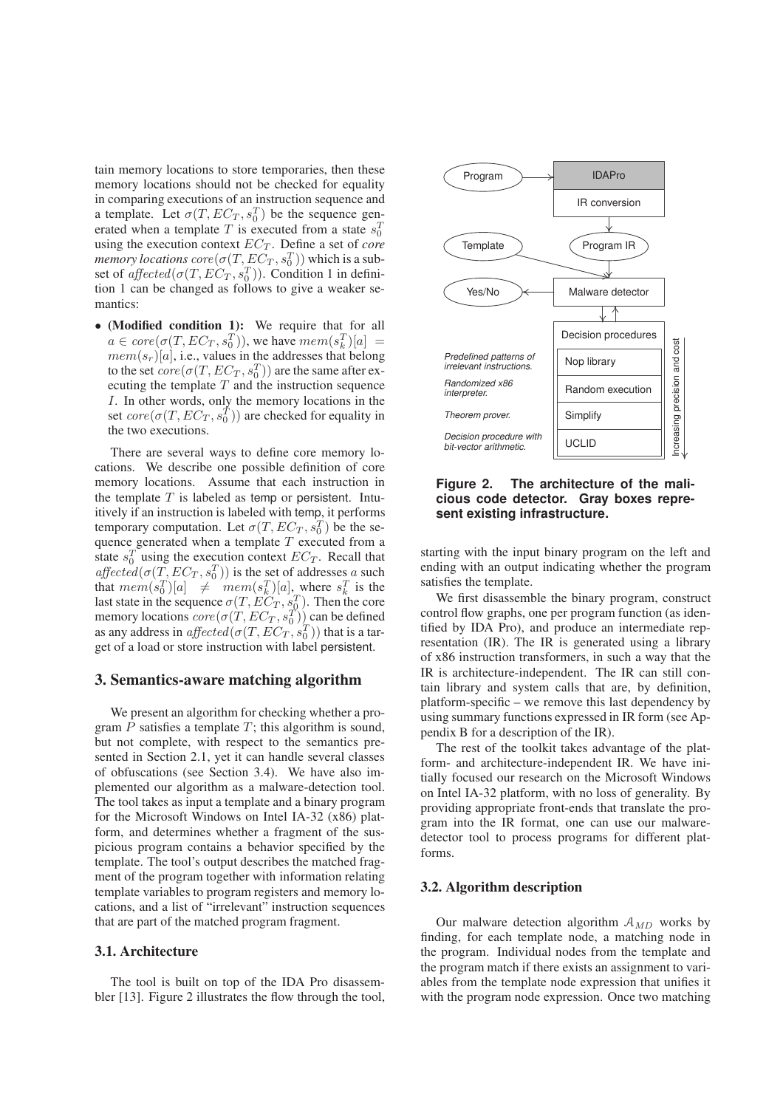tain memory locations to store temporaries, then these memory locations should not be checked for equality in comparing executions of an instruction sequence and a template. Let  $\sigma(T, EC_T, s_0^T)$  be the sequence generated when a template T is executed from a state  $s_0^T$ using the execution context  $EC_T$ . Define a set of *core memory locations core*  $(\sigma(T, \underline{E} \overline{C}_T, s_0^T))$  which is a subset of  $\text{affected}(\sigma(T, \text{EC}_T, s_0^T))$ . Condition 1 in definition 1 can be changed as follows to give a weaker semantics:

• **(Modified condition 1):** We require that for all  $a \in core(\sigma(T, EC_T, s_0^T)),$  we have  $mem(s_k^T)[a] =$  $mem(s<sub>r</sub>)[a]$ , i.e., values in the addresses that belong to the set  $core(\sigma(T, EC_T, s_0^T))$  are the same after executing the template  $T$  and the instruction sequence I. In other words, only the memory locations in the set  $core(\sigma(T, EC_T^{\tau}, s_0^{\tau}))$  are checked for equality in the two executions.

There are several ways to define core memory locations. We describe one possible definition of core memory locations. Assume that each instruction in the template  $T$  is labeled as temp or persistent. Intuitively if an instruction is labeled with temp, it performs temporary computation. Let  $\sigma(T, EC_T, s_0^T)$  be the sequence generated when a template  $T$  executed from a state  $s_0^T$  using the execution context  $EC_T$ . Recall that affected( $\sigma(\overline{T}, EC_T, s_0^T)$ ) is the set of addresses a such that  $mem(s_0^T)[a] \neq mem(s_k^T)[a]$ , where  $s_k^T$  is the last state in the sequence  $\sigma(T, \widetilde{EC}_T, \widetilde{s_0})$ . Then the core memory locations  $core(\sigma(\overline{T}, EC_{T}^-, s_0^T))$  can be defined as any address in  $\operatorname{affected}(\sigma(T, \overline{EC}_T, \overline{s}_0^T))$  that is a target of a load or store instruction with label persistent.

### **3. Semantics-aware matching algorithm**

We present an algorithm for checking whether a program  $P$  satisfies a template  $T$ ; this algorithm is sound, but not complete, with respect to the semantics presented in Section 2.1, yet it can handle several classes of obfuscations (see Section 3.4). We have also implemented our algorithm as a malware-detection tool. The tool takes as input a template and a binary program for the Microsoft Windows on Intel IA-32 (x86) platform, and determines whether a fragment of the suspicious program contains a behavior specified by the template. The tool's output describes the matched fragment of the program together with information relating template variables to program registers and memory locations, and a list of "irrelevant" instruction sequences that are part of the matched program fragment.

#### **3.1. Architecture**

The tool is built on top of the IDA Pro disassembler [13]. Figure 2 illustrates the flow through the tool,



**Figure 2. The architecture of the malicious code detector. Gray boxes represent existing infrastructure.**

starting with the input binary program on the left and ending with an output indicating whether the program satisfies the template.

We first disassemble the binary program, construct control flow graphs, one per program function (as identified by IDA Pro), and produce an intermediate representation (IR). The IR is generated using a library of x86 instruction transformers, in such a way that the IR is architecture-independent. The IR can still contain library and system calls that are, by definition, platform-specific – we remove this last dependency by using summary functions expressed in IR form (see Appendix B for a description of the IR).

The rest of the toolkit takes advantage of the platform- and architecture-independent IR. We have initially focused our research on the Microsoft Windows on Intel IA-32 platform, with no loss of generality. By providing appropriate front-ends that translate the program into the IR format, one can use our malwaredetector tool to process programs for different platforms.

## **3.2. Algorithm description**

Our malware detection algorithm  $A_{MD}$  works by finding, for each template node, a matching node in the program. Individual nodes from the template and the program match if there exists an assignment to variables from the template node expression that unifies it with the program node expression. Once two matching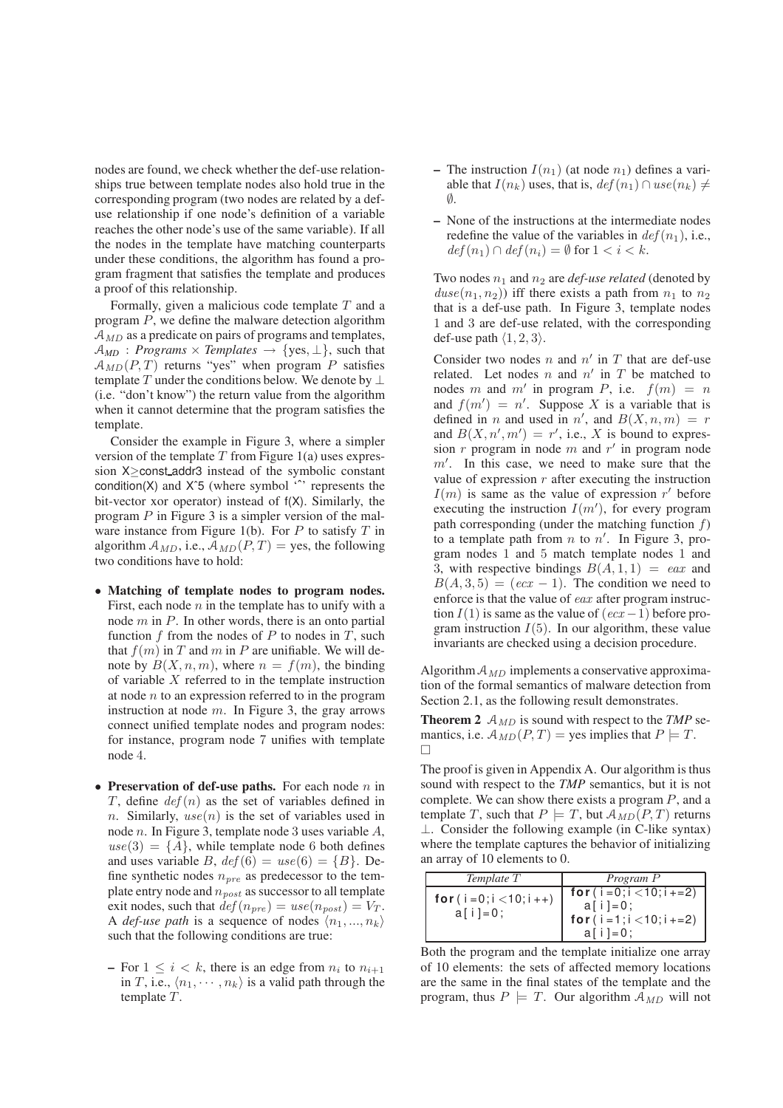nodes are found, we check whether the def-use relationships true between template nodes also hold true in the corresponding program (two nodes are related by a defuse relationship if one node's definition of a variable reaches the other node's use of the same variable). If all the nodes in the template have matching counterparts under these conditions, the algorithm has found a program fragment that satisfies the template and produces a proof of this relationship.

Formally, given a malicious code template  $T$  and a program P, we define the malware detection algorithm  $A_{MD}$  as a predicate on pairs of programs and templates,  $A_{MD}$  : *Programs* × *Templates*  $\rightarrow$  {yes,  $\perp$ }, such that  $A_{MD}(P, T)$  returns "yes" when program P satisfies template T under the conditions below. We denote by  $\perp$ (i.e. "don't know") the return value from the algorithm when it cannot determine that the program satisfies the template.

Consider the example in Figure 3, where a simpler version of the template  $T$  from Figure 1(a) uses expression X≥const addr3 instead of the symbolic constant condition(X) and  $X<sup>5</sup>$  (where symbol  $\cdots$  represents the bit-vector xor operator) instead of f(X). Similarly, the program  $P$  in Figure 3 is a simpler version of the malware instance from Figure 1(b). For  $P$  to satisfy  $T$  in algorithm  $A_{MD}$ , i.e.,  $A_{MD}(P, T) =$ yes, the following two conditions have to hold:

- **Matching of template nodes to program nodes.** First, each node  $n$  in the template has to unify with a node  $m$  in  $P$ . In other words, there is an onto partial function  $f$  from the nodes of  $P$  to nodes in  $T$ , such that  $f(m)$  in T and m in P are unifiable. We will denote by  $B(X, n, m)$ , where  $n = f(m)$ , the binding of variable X referred to in the template instruction at node  $n$  to an expression referred to in the program instruction at node  $m$ . In Figure 3, the gray arrows connect unified template nodes and program nodes: for instance, program node 7 unifies with template node 4.
- **Preservation of def-use paths.** For each node  $n$  in T, define  $def(n)$  as the set of variables defined in n. Similarly,  $use(n)$  is the set of variables used in node n. In Figure 3, template node 3 uses variable A,  $use(3) = \{A\}$ , while template node 6 both defines and uses variable B,  $def(6) = use(6) = {B}$ . Define synthetic nodes  $n_{pre}$  as predecessor to the template entry node and  $n_{post}$  as successor to all template exit nodes, such that  $\hat{def}(n_{pre}) = use(n_{post}) = V_T$ . A *def-use path* is a sequence of nodes  $\langle n_1, ..., n_k \rangle$ such that the following conditions are true:
	- $-$  For  $1 \leq i \leq k$ , there is an edge from  $n_i$  to  $n_{i+1}$ in T, i.e.,  $\langle n_1, \cdots, n_k \rangle$  is a valid path through the template  $T$ .
- **–** The instruction  $I(n_1)$  (at node  $n_1$ ) defines a variable that  $I(n_k)$  uses, that is,  $def(n_1) \cap use(n_k) \neq$ ∅.
- **–** None of the instructions at the intermediate nodes redefine the value of the variables in  $def(n_1)$ , i.e.,  $def(n_1) \cap def(n_i) = \emptyset$  for  $1 < i < k$ .

Two nodes  $n_1$  and  $n_2$  are *def-use related* (denoted by  $duse(n_1, n_2)$  iff there exists a path from  $n_1$  to  $n_2$ that is a def-use path. In Figure 3, template nodes 1 and 3 are def-use related, with the corresponding def-use path  $\langle 1, 2, 3 \rangle$ .

Consider two nodes  $n$  and  $n'$  in  $T$  that are def-use related. Let nodes  $n$  and  $n'$  in  $T$  be matched to nodes m and m' in program P, i.e.  $f(m) = n$ and  $f(m') = n'$ . Suppose X is a variable that is defined in *n* and used in *n'*, and  $B(X, n, m) = r$ and  $B(X, n', m') = r'$ , i.e., X is bound to expression  $r$  program in node  $m$  and  $r'$  in program node m′ . In this case, we need to make sure that the value of expression  $r$  after executing the instruction  $I(m)$  is same as the value of expression r' before executing the instruction  $I(m')$ , for every program path corresponding (under the matching function  $f$ ) to a template path from  $n$  to  $n'$ . In Figure 3, program nodes 1 and 5 match template nodes 1 and 3, with respective bindings  $B(A, 1, 1) = eax$  and  $B(A, 3, 5) = (ecx - 1)$ . The condition we need to enforce is that the value of eax after program instruction  $I(1)$  is same as the value of  $(ex -1)$  before program instruction  $I(5)$ . In our algorithm, these value invariants are checked using a decision procedure.

Algorithm  $A_{MD}$  implements a conservative approximation of the formal semantics of malware detection from Section 2.1, as the following result demonstrates.

**Theorem 2**  $A_{MD}$  is sound with respect to the *TMP* semantics, i.e.  $\mathcal{A}_{MD}(P, T) =$  yes implies that  $P \models T$ .  $\Box$ 

The proof is given in Appendix A. Our algorithm is thus sound with respect to the *TMP* semantics, but it is not complete. We can show there exists a program P, and a template T, such that  $P \models T$ , but  $\mathcal{A}_{MD}(P, T)$  returns ⊥. Consider the following example (in C-like syntax) where the template captures the behavior of initializing an array of 10 elements to 0.

| Template T                              | Program P                                                                                 |
|-----------------------------------------|-------------------------------------------------------------------------------------------|
| for $(i = 0; i < 10; i++)$<br>$a[i]=0;$ | for $(i = 0; i < 10; i += 2)$<br>$a[i]=0;$<br>for $(i = 1; i < 10; i += 2)$<br>$a[i]=0$ ; |

Both the program and the template initialize one array of 10 elements: the sets of affected memory locations are the same in the final states of the template and the program, thus  $P \models T$ . Our algorithm  $A_{MD}$  will not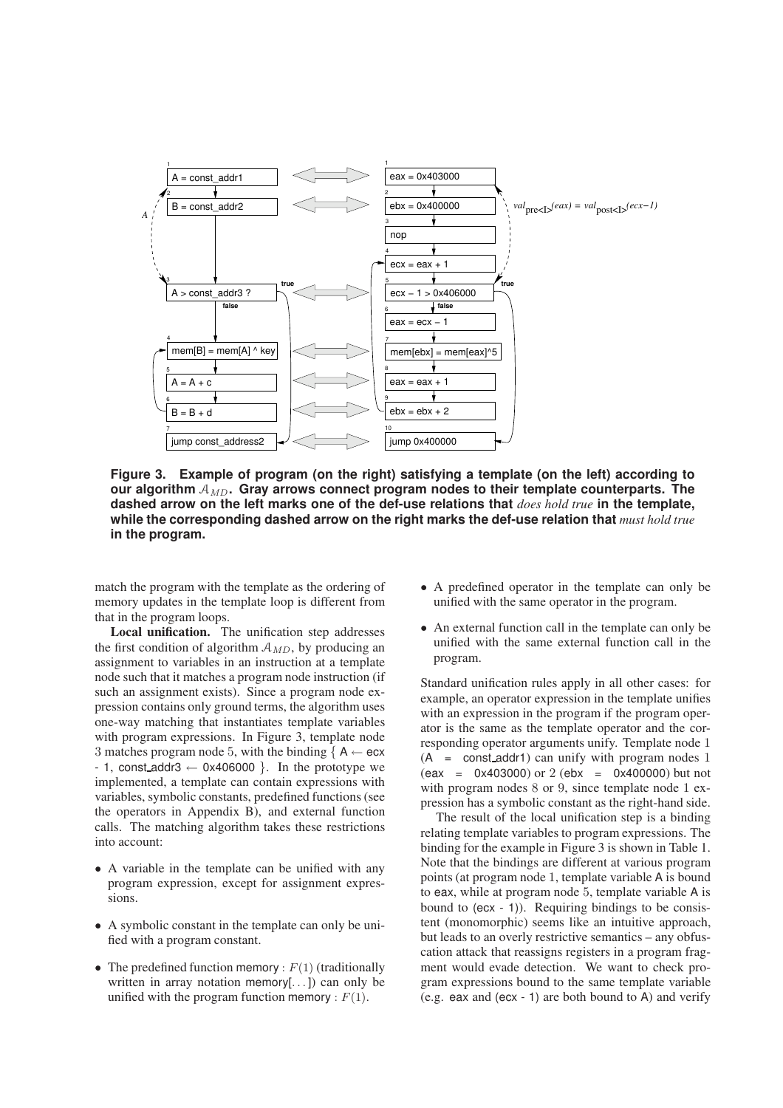

**Figure 3. Example of program (on the right) satisfying a template (on the left) according to** our algorithm  $A_{MD}$ . Gray arrows connect program nodes to their template counterparts. The **dashed arrow on the left marks one of the def-use relations that** *does hold true* **in the template, while the corresponding dashed arrow on the right marks the def-use relation that** *must hold true* **in the program.**

match the program with the template as the ordering of memory updates in the template loop is different from that in the program loops.

**Local unification.** The unification step addresses the first condition of algorithm  $A_{MD}$ , by producing an assignment to variables in an instruction at a template node such that it matches a program node instruction (if such an assignment exists). Since a program node expression contains only ground terms, the algorithm uses one-way matching that instantiates template variables with program expressions. In Figure 3, template node 3 matches program node 5, with the binding  ${A \leftarrow$  ecx - 1, const\_addr3  $\leftarrow$  0x406000 }. In the prototype we implemented, a template can contain expressions with variables, symbolic constants, predefined functions (see the operators in Appendix B), and external function calls. The matching algorithm takes these restrictions into account:

- A variable in the template can be unified with any program expression, except for assignment expressions.
- A symbolic constant in the template can only be unified with a program constant.
- The predefined function memory :  $F(1)$  (traditionally written in array notation memory[...]) can only be unified with the program function memory :  $F(1)$ .
- A predefined operator in the template can only be unified with the same operator in the program.
- An external function call in the template can only be unified with the same external function call in the program.

Standard unification rules apply in all other cases: for example, an operator expression in the template unifies with an expression in the program if the program operator is the same as the template operator and the corresponding operator arguments unify. Template node 1  $(A = \text{const}\_ \text{addr1})$  can unify with program nodes 1 (eax =  $0x403000$ ) or 2 (ebx =  $0x400000$ ) but not with program nodes 8 or 9, since template node 1 expression has a symbolic constant as the right-hand side.

The result of the local unification step is a binding relating template variables to program expressions. The binding for the example in Figure 3 is shown in Table 1. Note that the bindings are different at various program points (at program node 1, template variable A is bound to eax, while at program node 5, template variable A is bound to (ecx - 1)). Requiring bindings to be consistent (monomorphic) seems like an intuitive approach, but leads to an overly restrictive semantics – any obfuscation attack that reassigns registers in a program fragment would evade detection. We want to check program expressions bound to the same template variable (e.g. eax and (ecx - 1) are both bound to A) and verify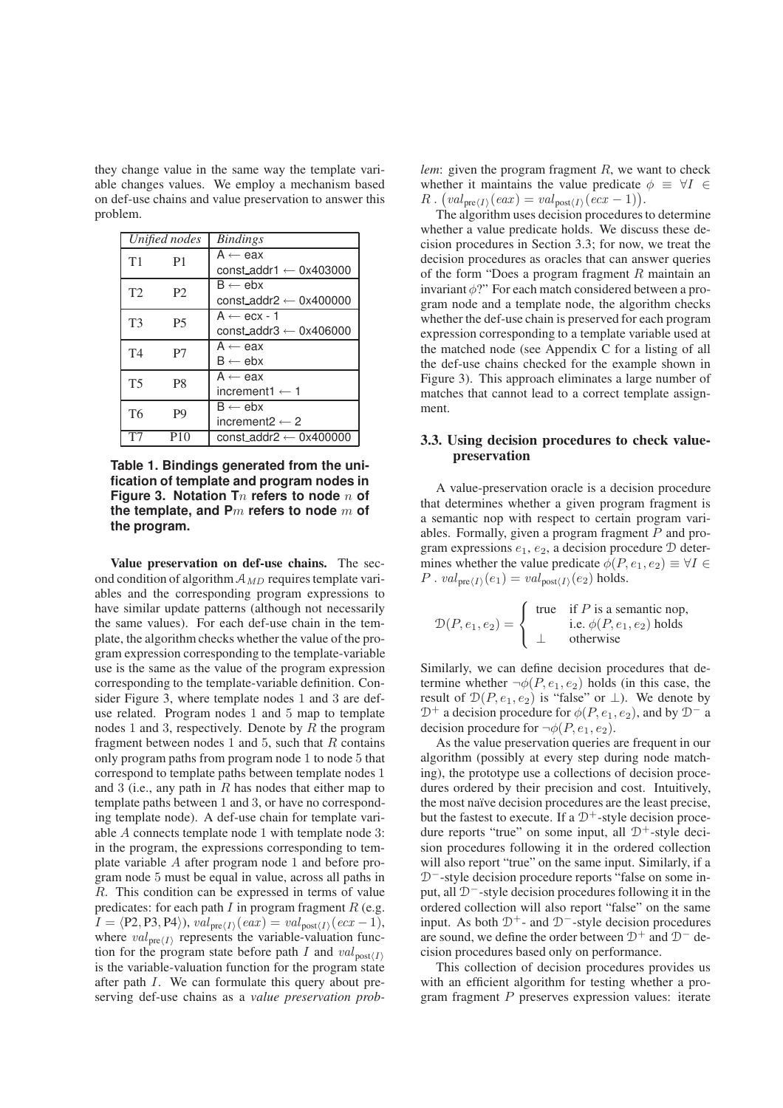they change value in the same way the template variable changes values. We employ a mechanism based on def-use chains and value preservation to answer this problem.

|                | Unified nodes        | <i>Bindings</i>                    |
|----------------|----------------------|------------------------------------|
| T1             | P <sub>1</sub>       | $A \leftarrow eax$                 |
|                |                      | const_addr1 $\leftarrow$ 0x403000  |
| T2             | P <sub>2</sub>       | $B \leftarrow ebx$                 |
|                |                      | const_addr2 $\leftarrow$ 0x400000  |
|                | T3<br>P <sub>5</sub> | A $\leftarrow$ ecx - 1             |
|                |                      | const_addr $3 \leftarrow 0x406000$ |
| T4             | P7                   | A ← eax                            |
|                |                      | $B \leftarrow ebx$                 |
| T <sub>5</sub> | P <sub>8</sub>       | A ← eax                            |
|                |                      | increment1 $\leftarrow$ 1          |
| T <sub>6</sub> | P <sub>9</sub>       | $B \leftarrow ebx$                 |
|                |                      | increment2 $\leftarrow$ 2          |
| T7             | P10                  | const_addr2 $\leftarrow$ 0x400000  |

**Table 1. Bindings generated from the unification of template and program nodes in Figure 3. Notation T**n **refers to node** n **of the template, and P**m **refers to node** m **of the program.**

**Value preservation on def-use chains.** The second condition of algorithm  $A_{MD}$  requires template variables and the corresponding program expressions to have similar update patterns (although not necessarily the same values). For each def-use chain in the template, the algorithm checks whether the value of the program expression corresponding to the template-variable use is the same as the value of the program expression corresponding to the template-variable definition. Consider Figure 3, where template nodes 1 and 3 are defuse related. Program nodes 1 and 5 map to template nodes 1 and 3, respectively. Denote by  $R$  the program fragment between nodes 1 and 5, such that  $R$  contains only program paths from program node 1 to node 5 that correspond to template paths between template nodes 1 and 3 (i.e., any path in  $R$  has nodes that either map to template paths between 1 and 3, or have no corresponding template node). A def-use chain for template variable A connects template node 1 with template node 3: in the program, the expressions corresponding to template variable A after program node 1 and before program node 5 must be equal in value, across all paths in R. This condition can be expressed in terms of value predicates: for each path  $I$  in program fragment  $R$  (e.g.  $I = \langle P2, P3, P4 \rangle$ ),  $val_{pre\langle I \rangle}(eax) = val_{post\langle I \rangle}(ecx - 1),$ where  $val_{pre\{I\}}$  represents the variable-valuation function for the program state before path I and  $val_{post(I)}$ is the variable-valuation function for the program state after path I. We can formulate this query about preserving def-use chains as a *value preservation prob-* *lem*: given the program fragment  $R$ , we want to check whether it maintains the value predicate  $\phi \equiv \forall I \in$  $R \cdot \left( val_{\text{pre}\langle I \rangle}(eax) = val_{\text{post}\langle I \rangle}(ecx - 1) \right).$ 

The algorithm uses decision procedures to determine whether a value predicate holds. We discuss these decision procedures in Section 3.3; for now, we treat the decision procedures as oracles that can answer queries of the form "Does a program fragment  $R$  maintain an invariant  $\phi$ ?" For each match considered between a program node and a template node, the algorithm checks whether the def-use chain is preserved for each program expression corresponding to a template variable used at the matched node (see Appendix C for a listing of all the def-use chains checked for the example shown in Figure 3). This approach eliminates a large number of matches that cannot lead to a correct template assignment.

## **3.3. Using decision procedures to check valuepreservation**

A value-preservation oracle is a decision procedure that determines whether a given program fragment is a semantic nop with respect to certain program variables. Formally, given a program fragment  $P$  and program expressions  $e_1, e_2$ , a decision procedure  $D$  determines whether the value predicate  $\phi(P, e_1, e_2) \equiv \forall I \in$  $P$ .  $val_{\text{pre}\langle I\rangle}(e_1) = val_{\text{post}\langle I\rangle}(e_2)$  holds.

 $\mathcal{D}(P, e_1, e_2) =$  $\sqrt{ }$ <sup>J</sup>  $\mathcal{L}$ true if  $P$  is a semantic nop, i.e.  $\phi(P, e_1, e_2)$  holds ⊥ otherwise

Similarly, we can define decision procedures that determine whether  $\neg \phi(P, e_1, e_2)$  holds (in this case, the result of  $\mathcal{D}(P, e_1, e_2)$  is "false" or  $\perp$ ). We denote by  $\mathcal{D}^+$  a decision procedure for  $\phi(P, e_1, e_2)$ , and by  $\mathcal{D}^-$  a decision procedure for  $\neg \phi(P, e_1, e_2)$ .

As the value preservation queries are frequent in our algorithm (possibly at every step during node matching), the prototype use a collections of decision procedures ordered by their precision and cost. Intuitively, the most naïve decision procedures are the least precise, but the fastest to execute. If a  $\mathcal{D}^+$ -style decision procedure reports "true" on some input, all  $\mathcal{D}^+$ -style decision procedures following it in the ordered collection will also report "true" on the same input. Similarly, if a D−-style decision procedure reports "false on some input, all D−-style decision procedures following it in the ordered collection will also report "false" on the same input. As both  $\mathcal{D}^+$ - and  $\mathcal{D}^-$ -style decision procedures are sound, we define the order between  $\mathcal{D}^+$  and  $\mathcal{D}^-$  decision procedures based only on performance.

This collection of decision procedures provides us with an efficient algorithm for testing whether a program fragment  $P$  preserves expression values: iterate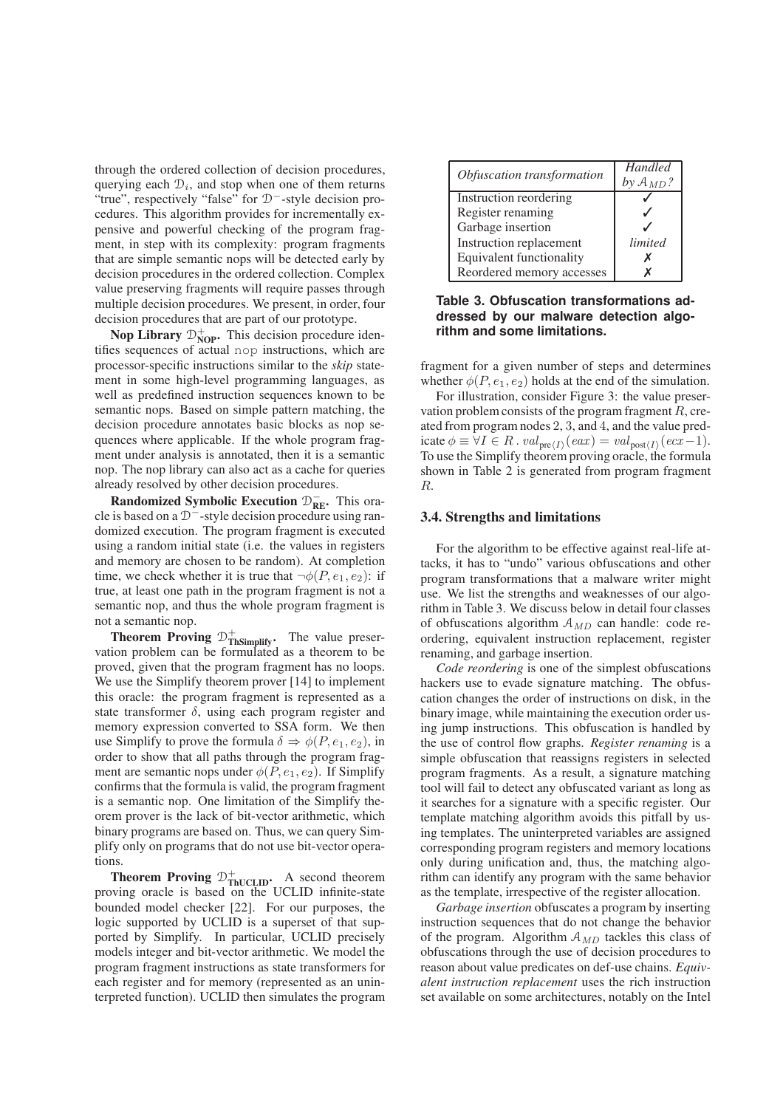through the ordered collection of decision procedures, querying each  $\mathcal{D}_i$ , and stop when one of them returns "true", respectively "false" for D<sup>−</sup>-style decision procedures. This algorithm provides for incrementally expensive and powerful checking of the program fragment, in step with its complexity: program fragments that are simple semantic nops will be detected early by decision procedures in the ordered collection. Complex value preserving fragments will require passes through multiple decision procedures. We present, in order, four decision procedures that are part of our prototype.

**Nop Library**  $\mathcal{D}_{\text{NOP}}^+$ . This decision procedure identifies sequences of actual nop instructions, which are processor-specific instructions similar to the *skip* statement in some high-level programming languages, as well as predefined instruction sequences known to be semantic nops. Based on simple pattern matching, the decision procedure annotates basic blocks as nop sequences where applicable. If the whole program fragment under analysis is annotated, then it is a semantic nop. The nop library can also act as a cache for queries already resolved by other decision procedures.

**Randomized Symbolic Execution**  $\mathcal{D}_{RE}^-$ . This oracle is based on a D<sup>−</sup>-style decision procedure using randomized execution. The program fragment is executed using a random initial state (i.e. the values in registers and memory are chosen to be random). At completion time, we check whether it is true that  $\neg \phi(P, e_1, e_2)$ : if true, at least one path in the program fragment is not a semantic nop, and thus the whole program fragment is not a semantic nop.

**Theorem Proving**  $\mathcal{D}_{\text{ThSimplify}}^+$ . The value preservation problem can be formulated as a theorem to be proved, given that the program fragment has no loops. We use the Simplify theorem prover [14] to implement this oracle: the program fragment is represented as a state transformer  $\delta$ , using each program register and memory expression converted to SSA form. We then use Simplify to prove the formula  $\delta \Rightarrow \phi(P, e_1, e_2)$ , in order to show that all paths through the program fragment are semantic nops under  $\phi(P, e_1, e_2)$ . If Simplify confirms that the formula is valid, the program fragment is a semantic nop. One limitation of the Simplify theorem prover is the lack of bit-vector arithmetic, which binary programs are based on. Thus, we can query Simplify only on programs that do not use bit-vector operations.

**Theorem Proving**  $\mathcal{D}_{\text{ThUCLID}}^{+}$ . A second theorem proving oracle is based on the UCLID infinite-state bounded model checker [22]. For our purposes, the logic supported by UCLID is a superset of that supported by Simplify. In particular, UCLID precisely models integer and bit-vector arithmetic. We model the program fragment instructions as state transformers for each register and for memory (represented as an uninterpreted function). UCLID then simulates the program

| Obfuscation transformation      | Handled<br>by $A_{MD}$ ? |
|---------------------------------|--------------------------|
| Instruction reordering          |                          |
| Register renaming               |                          |
| Garbage insertion               |                          |
| Instruction replacement         | limited                  |
| <b>Equivalent functionality</b> |                          |
| Reordered memory accesses       |                          |

**Table 3. Obfuscation transformations addressed by our malware detection algorithm and some limitations.**

fragment for a given number of steps and determines whether  $\phi(P, e_1, e_2)$  holds at the end of the simulation.

For illustration, consider Figure 3: the value preservation problem consists of the program fragment  $R$ , created from program nodes 2, 3, and 4, and the value predicate  $\phi \equiv \forall I \in R$ .  $val_{\text{pre}(I)}(eax) = val_{\text{post}(I)}(ecx-1)$ . To use the Simplify theorem proving oracle, the formula shown in Table 2 is generated from program fragment R.

### **3.4. Strengths and limitations**

For the algorithm to be effective against real-life attacks, it has to "undo" various obfuscations and other program transformations that a malware writer might use. We list the strengths and weaknesses of our algorithm in Table 3. We discuss below in detail four classes of obfuscations algorithm  $A_{MD}$  can handle: code reordering, equivalent instruction replacement, register renaming, and garbage insertion.

*Code reordering* is one of the simplest obfuscations hackers use to evade signature matching. The obfuscation changes the order of instructions on disk, in the binary image, while maintaining the execution order using jump instructions. This obfuscation is handled by the use of control flow graphs. *Register renaming* is a simple obfuscation that reassigns registers in selected program fragments. As a result, a signature matching tool will fail to detect any obfuscated variant as long as it searches for a signature with a specific register. Our template matching algorithm avoids this pitfall by using templates. The uninterpreted variables are assigned corresponding program registers and memory locations only during unification and, thus, the matching algorithm can identify any program with the same behavior as the template, irrespective of the register allocation.

*Garbage insertion* obfuscates a program by inserting instruction sequences that do not change the behavior of the program. Algorithm  $A_{MD}$  tackles this class of obfuscations through the use of decision procedures to reason about value predicates on def-use chains. *Equivalent instruction replacement* uses the rich instruction set available on some architectures, notably on the Intel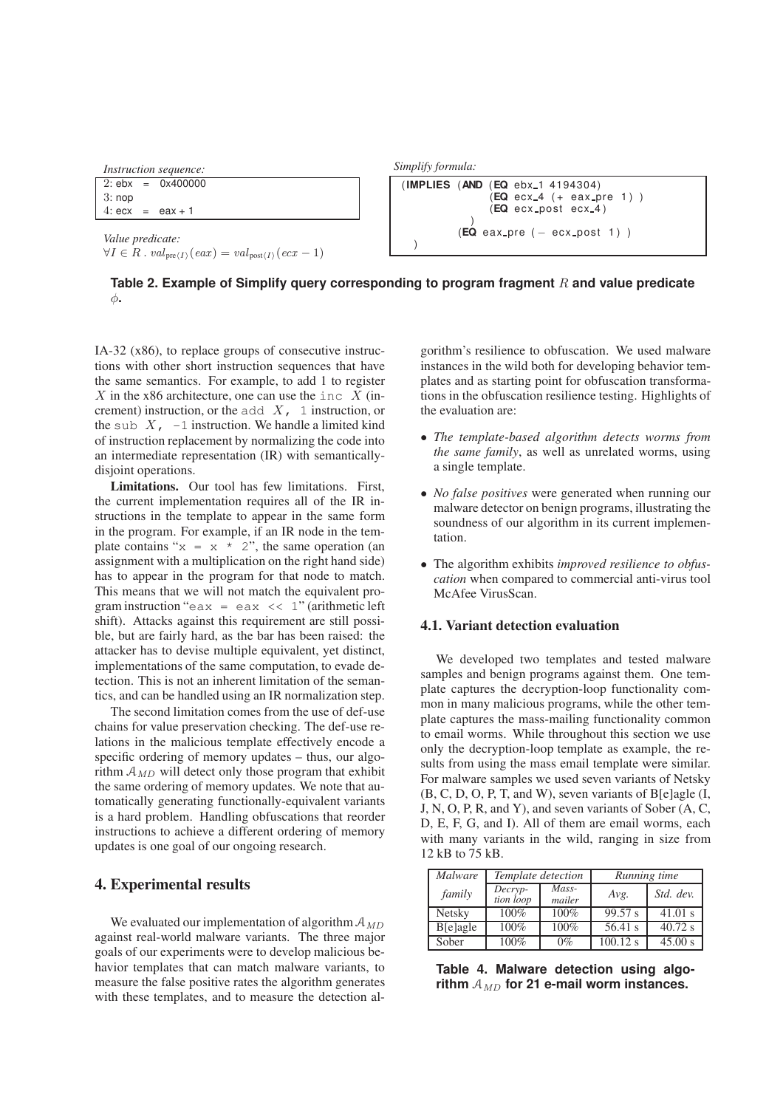

**Table 2. Example of Simplify query corresponding to program fragment** R **and value predicate** φ**.**

IA-32 (x86), to replace groups of consecutive instructions with other short instruction sequences that have the same semantics. For example, to add 1 to register  $X$  in the x86 architecture, one can use the inc  $X$  (increment) instruction, or the add  $X$ , 1 instruction, or the sub  $X$ ,  $-1$  instruction. We handle a limited kind of instruction replacement by normalizing the code into an intermediate representation (IR) with semanticallydisjoint operations.

**Limitations.** Our tool has few limitations. First, the current implementation requires all of the IR instructions in the template to appear in the same form in the program. For example, if an IR node in the template contains " $x = x * 2$ ", the same operation (an assignment with a multiplication on the right hand side) has to appear in the program for that node to match. This means that we will not match the equivalent program instruction "eax = eax << 1" (arithmetic left shift). Attacks against this requirement are still possible, but are fairly hard, as the bar has been raised: the attacker has to devise multiple equivalent, yet distinct, implementations of the same computation, to evade detection. This is not an inherent limitation of the semantics, and can be handled using an IR normalization step.

The second limitation comes from the use of def-use chains for value preservation checking. The def-use relations in the malicious template effectively encode a specific ordering of memory updates – thus, our algorithm  $A_{MD}$  will detect only those program that exhibit the same ordering of memory updates. We note that automatically generating functionally-equivalent variants is a hard problem. Handling obfuscations that reorder instructions to achieve a different ordering of memory updates is one goal of our ongoing research.

## **4. Experimental results**

We evaluated our implementation of algorithm  $A_{MD}$ against real-world malware variants. The three major goals of our experiments were to develop malicious behavior templates that can match malware variants, to measure the false positive rates the algorithm generates with these templates, and to measure the detection algorithm's resilience to obfuscation. We used malware instances in the wild both for developing behavior templates and as starting point for obfuscation transformations in the obfuscation resilience testing. Highlights of the evaluation are:

- *The template-based algorithm detects worms from the same family*, as well as unrelated worms, using a single template.
- *No false positives* were generated when running our malware detector on benign programs, illustrating the soundness of our algorithm in its current implementation.
- The algorithm exhibits *improved resilience to obfuscation* when compared to commercial anti-virus tool McAfee VirusScan.

## **4.1. Variant detection evaluation**

We developed two templates and tested malware samples and benign programs against them. One template captures the decryption-loop functionality common in many malicious programs, while the other template captures the mass-mailing functionality common to email worms. While throughout this section we use only the decryption-loop template as example, the results from using the mass email template were similar. For malware samples we used seven variants of Netsky (B, C, D, O, P, T, and W), seven variants of B[e]agle (I, J, N, O, P, R, and Y), and seven variants of Sober (A, C, D, E, F, G, and I). All of them are email worms, each with many variants in the wild, ranging in size from 12 kB to 75 kB.

| Malware          | Template detection   |                 | Running time |           |
|------------------|----------------------|-----------------|--------------|-----------|
| family           | Decryp-<br>tion loop | Mass-<br>mailer | Avg.         | Std. dev. |
| <b>Netsky</b>    | 100%                 | $100\%$         | 99.57 s      | 41.01 s   |
| <b>B</b> [e]agle | 100%                 | $100\%$         | 56.41 s      | $40.72$ s |
| Sober            | 100%                 | $0\%$           | 100.12 s     | 45.00 s   |

**Table 4. Malware detection using algo** $r$ ithm  $A_{MD}$  for 21 e-mail worm instances.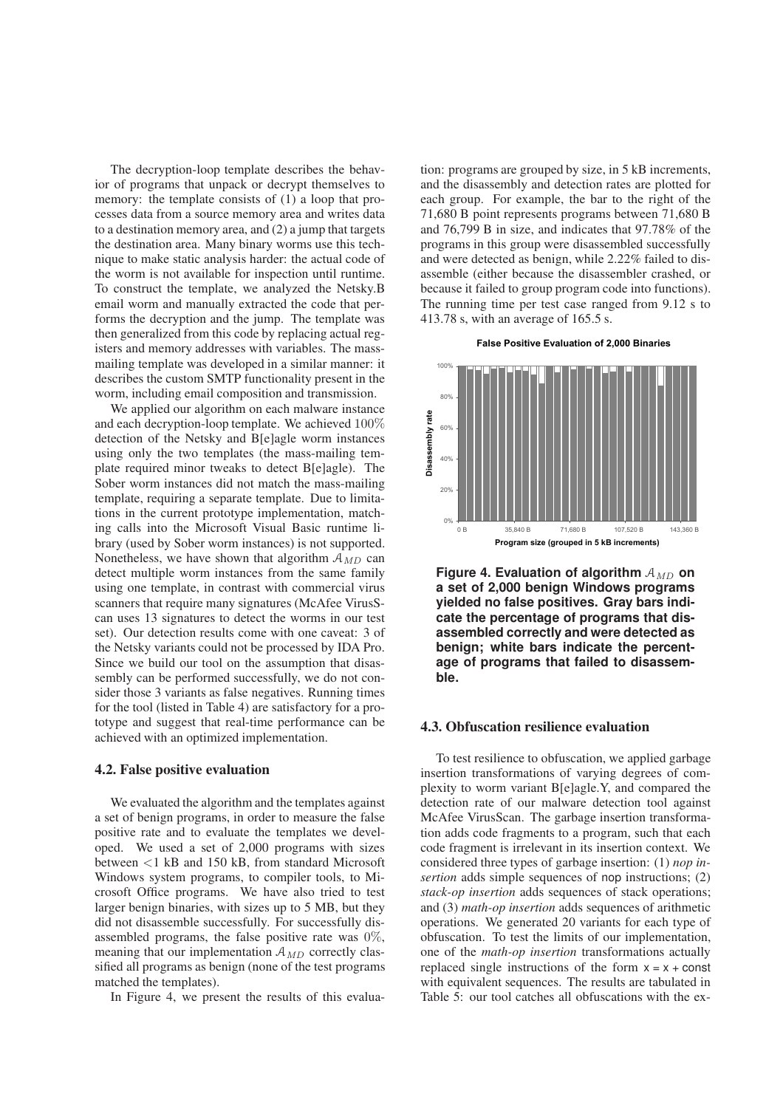The decryption-loop template describes the behavior of programs that unpack or decrypt themselves to memory: the template consists of (1) a loop that processes data from a source memory area and writes data to a destination memory area, and (2) a jump that targets the destination area. Many binary worms use this technique to make static analysis harder: the actual code of the worm is not available for inspection until runtime. To construct the template, we analyzed the Netsky.B email worm and manually extracted the code that performs the decryption and the jump. The template was then generalized from this code by replacing actual registers and memory addresses with variables. The massmailing template was developed in a similar manner: it describes the custom SMTP functionality present in the worm, including email composition and transmission.

We applied our algorithm on each malware instance and each decryption-loop template. We achieved 100% detection of the Netsky and B[e]agle worm instances using only the two templates (the mass-mailing template required minor tweaks to detect B[e]agle). The Sober worm instances did not match the mass-mailing template, requiring a separate template. Due to limitations in the current prototype implementation, matching calls into the Microsoft Visual Basic runtime library (used by Sober worm instances) is not supported. Nonetheless, we have shown that algorithm  $A_{MD}$  can detect multiple worm instances from the same family using one template, in contrast with commercial virus scanners that require many signatures (McAfee VirusScan uses 13 signatures to detect the worms in our test set). Our detection results come with one caveat: 3 of the Netsky variants could not be processed by IDA Pro. Since we build our tool on the assumption that disassembly can be performed successfully, we do not consider those 3 variants as false negatives. Running times for the tool (listed in Table 4) are satisfactory for a prototype and suggest that real-time performance can be achieved with an optimized implementation.

### **4.2. False positive evaluation**

We evaluated the algorithm and the templates against a set of benign programs, in order to measure the false positive rate and to evaluate the templates we developed. We used a set of 2,000 programs with sizes between <1 kB and 150 kB, from standard Microsoft Windows system programs, to compiler tools, to Microsoft Office programs. We have also tried to test larger benign binaries, with sizes up to 5 MB, but they did not disassemble successfully. For successfully disassembled programs, the false positive rate was 0%, meaning that our implementation  $A_{MD}$  correctly classified all programs as benign (none of the test programs matched the templates).

In Figure 4, we present the results of this evalua-

tion: programs are grouped by size, in 5 kB increments, and the disassembly and detection rates are plotted for each group. For example, the bar to the right of the 71,680 B point represents programs between 71,680 B and 76,799 B in size, and indicates that 97.78% of the programs in this group were disassembled successfully and were detected as benign, while 2.22% failed to disassemble (either because the disassembler crashed, or because it failed to group program code into functions). The running time per test case ranged from 9.12 s to 413.78 s, with an average of 165.5 s.

#### **False Positive Evaluation of 2,000 Binaries**



**Figure 4. Evaluation of algorithm**  $A_{MD}$  on **a set of 2,000 benign Windows programs yielded no false positives. Gray bars indicate the percentage of programs that disassembled correctly and were detected as benign; white bars indicate the percentage of programs that failed to disassemble.**

### **4.3. Obfuscation resilience evaluation**

To test resilience to obfuscation, we applied garbage insertion transformations of varying degrees of complexity to worm variant B[e]agle.Y, and compared the detection rate of our malware detection tool against McAfee VirusScan. The garbage insertion transformation adds code fragments to a program, such that each code fragment is irrelevant in its insertion context. We considered three types of garbage insertion: (1) *nop insertion* adds simple sequences of nop instructions; (2) *stack-op insertion* adds sequences of stack operations; and (3) *math-op insertion* adds sequences of arithmetic operations. We generated 20 variants for each type of obfuscation. To test the limits of our implementation, one of the *math-op insertion* transformations actually replaced single instructions of the form  $x = x + const$ with equivalent sequences. The results are tabulated in Table 5: our tool catches all obfuscations with the ex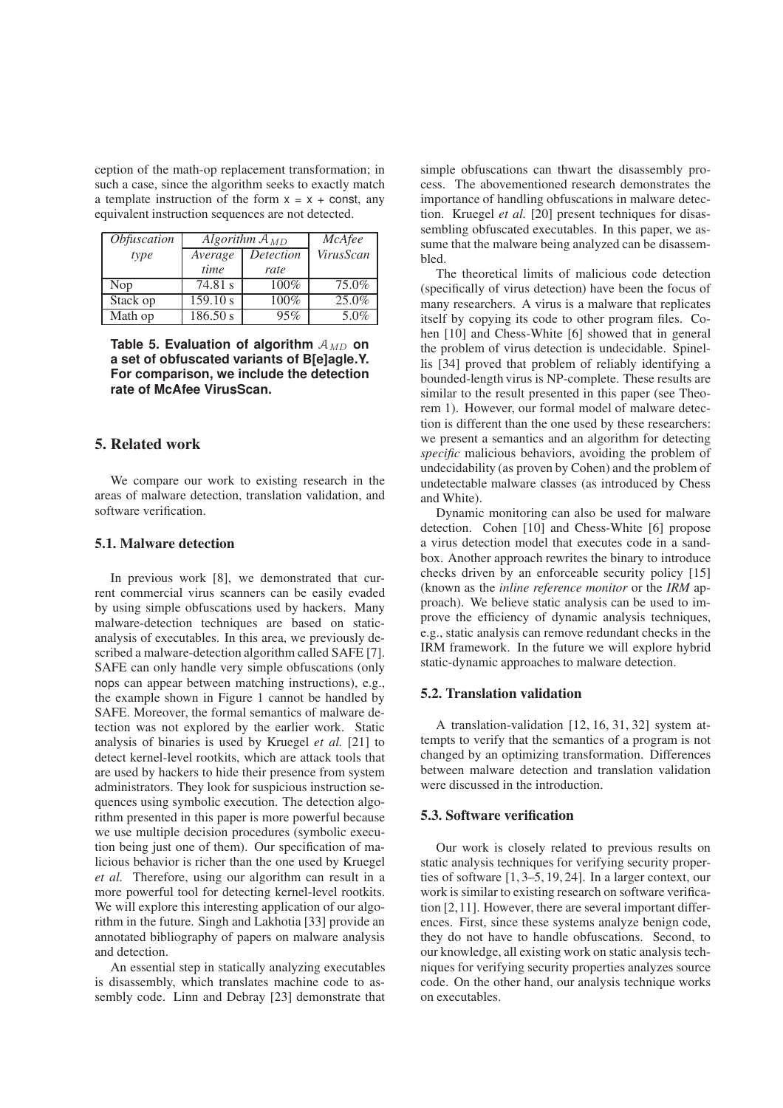ception of the math-op replacement transformation; in such a case, since the algorithm seeks to exactly match a template instruction of the form  $x = x + const$ , any equivalent instruction sequences are not detected.

| <i>Obfuscation</i> | Algorithm $A_{MD}$ |           | McAfee    |
|--------------------|--------------------|-----------|-----------|
| type               | Average            | Detection | VirusScan |
|                    | time               | rate      |           |
| Nop                | 74.81 s            | $100\%$   | 75.0%     |
| Stack op           | 159.10 s           | 100%      | 25.0%     |
| Math op            | 186.50 s           | 95%       | 5.0%      |

**Table 5. Evaluation of algorithm**  $A_{MD}$  on **a set of obfuscated variants of B[e]agle.Y. For comparison, we include the detection rate of McAfee VirusScan.**

## **5. Related work**

We compare our work to existing research in the areas of malware detection, translation validation, and software verification.

## **5.1. Malware detection**

In previous work [8], we demonstrated that current commercial virus scanners can be easily evaded by using simple obfuscations used by hackers. Many malware-detection techniques are based on staticanalysis of executables. In this area, we previously described a malware-detection algorithm called SAFE [7]. SAFE can only handle very simple obfuscations (only nops can appear between matching instructions), e.g., the example shown in Figure 1 cannot be handled by SAFE. Moreover, the formal semantics of malware detection was not explored by the earlier work. Static analysis of binaries is used by Kruegel *et al.* [21] to detect kernel-level rootkits, which are attack tools that are used by hackers to hide their presence from system administrators. They look for suspicious instruction sequences using symbolic execution. The detection algorithm presented in this paper is more powerful because we use multiple decision procedures (symbolic execution being just one of them). Our specification of malicious behavior is richer than the one used by Kruegel *et al.* Therefore, using our algorithm can result in a more powerful tool for detecting kernel-level rootkits. We will explore this interesting application of our algorithm in the future. Singh and Lakhotia [33] provide an annotated bibliography of papers on malware analysis and detection.

An essential step in statically analyzing executables is disassembly, which translates machine code to assembly code. Linn and Debray [23] demonstrate that simple obfuscations can thwart the disassembly process. The abovementioned research demonstrates the importance of handling obfuscations in malware detection. Kruegel *et al.* [20] present techniques for disassembling obfuscated executables. In this paper, we assume that the malware being analyzed can be disassembled.

The theoretical limits of malicious code detection (specifically of virus detection) have been the focus of many researchers. A virus is a malware that replicates itself by copying its code to other program files. Cohen [10] and Chess-White [6] showed that in general the problem of virus detection is undecidable. Spinellis [34] proved that problem of reliably identifying a bounded-length virus is NP-complete. These results are similar to the result presented in this paper (see Theorem 1). However, our formal model of malware detection is different than the one used by these researchers: we present a semantics and an algorithm for detecting *specific* malicious behaviors, avoiding the problem of undecidability (as proven by Cohen) and the problem of undetectable malware classes (as introduced by Chess and White).

Dynamic monitoring can also be used for malware detection. Cohen [10] and Chess-White [6] propose a virus detection model that executes code in a sandbox. Another approach rewrites the binary to introduce checks driven by an enforceable security policy [15] (known as the *inline reference monitor* or the *IRM* approach). We believe static analysis can be used to improve the efficiency of dynamic analysis techniques, e.g., static analysis can remove redundant checks in the IRM framework. In the future we will explore hybrid static-dynamic approaches to malware detection.

### **5.2. Translation validation**

A translation-validation [12, 16, 31, 32] system attempts to verify that the semantics of a program is not changed by an optimizing transformation. Differences between malware detection and translation validation were discussed in the introduction.

## **5.3. Software verification**

Our work is closely related to previous results on static analysis techniques for verifying security properties of software [1, 3–5, 19, 24]. In a larger context, our work is similar to existing research on software verification [2,11]. However, there are several important differences. First, since these systems analyze benign code, they do not have to handle obfuscations. Second, to our knowledge, all existing work on static analysis techniques for verifying security properties analyzes source code. On the other hand, our analysis technique works on executables.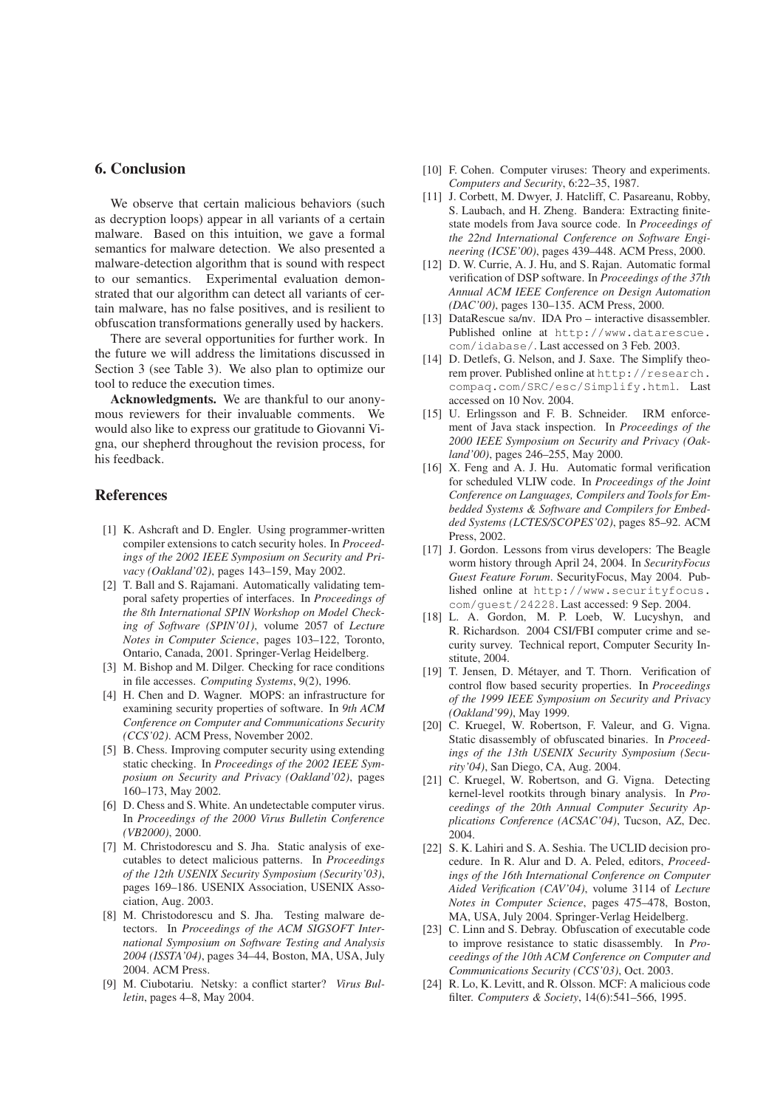## **6. Conclusion**

We observe that certain malicious behaviors (such as decryption loops) appear in all variants of a certain malware. Based on this intuition, we gave a formal semantics for malware detection. We also presented a malware-detection algorithm that is sound with respect to our semantics. Experimental evaluation demonstrated that our algorithm can detect all variants of certain malware, has no false positives, and is resilient to obfuscation transformations generally used by hackers.

There are several opportunities for further work. In the future we will address the limitations discussed in Section 3 (see Table 3). We also plan to optimize our tool to reduce the execution times.

**Acknowledgments.** We are thankful to our anonymous reviewers for their invaluable comments. We would also like to express our gratitude to Giovanni Vigna, our shepherd throughout the revision process, for his feedback.

# **References**

- [1] K. Ashcraft and D. Engler. Using programmer-written compiler extensions to catch security holes. In *Proceedings of the 2002 IEEE Symposium on Security and Privacy (Oakland'02)*, pages 143–159, May 2002.
- [2] T. Ball and S. Rajamani. Automatically validating temporal safety properties of interfaces. In *Proceedings of the 8th International SPIN Workshop on Model Checking of Software (SPIN'01)*, volume 2057 of *Lecture Notes in Computer Science*, pages 103–122, Toronto, Ontario, Canada, 2001. Springer-Verlag Heidelberg.
- [3] M. Bishop and M. Dilger. Checking for race conditions in file accesses. *Computing Systems*, 9(2), 1996.
- [4] H. Chen and D. Wagner. MOPS: an infrastructure for examining security properties of software. In *9th ACM Conference on Computer and Communications Security (CCS'02)*. ACM Press, November 2002.
- [5] B. Chess. Improving computer security using extending static checking. In *Proceedings of the 2002 IEEE Symposium on Security and Privacy (Oakland'02)*, pages 160–173, May 2002.
- [6] D. Chess and S. White. An undetectable computer virus. In *Proceedings of the 2000 Virus Bulletin Conference (VB2000)*, 2000.
- [7] M. Christodorescu and S. Jha. Static analysis of executables to detect malicious patterns. In *Proceedings of the 12th USENIX Security Symposium (Security'03)*, pages 169–186. USENIX Association, USENIX Association, Aug. 2003.
- [8] M. Christodorescu and S. Jha. Testing malware detectors. In *Proceedings of the ACM SIGSOFT International Symposium on Software Testing and Analysis 2004 (ISSTA'04)*, pages 34–44, Boston, MA, USA, July 2004. ACM Press.
- [9] M. Ciubotariu. Netsky: a conflict starter? *Virus Bulletin*, pages 4–8, May 2004.
- [10] F. Cohen. Computer viruses: Theory and experiments. *Computers and Security*, 6:22–35, 1987.
- [11] J. Corbett, M. Dwyer, J. Hatcliff, C. Pasareanu, Robby, S. Laubach, and H. Zheng. Bandera: Extracting finitestate models from Java source code. In *Proceedings of the 22nd International Conference on Software Engineering (ICSE'00)*, pages 439–448. ACM Press, 2000.
- [12] D. W. Currie, A. J. Hu, and S. Rajan. Automatic formal verification of DSP software. In *Proceedings of the 37th Annual ACM IEEE Conference on Design Automation (DAC'00)*, pages 130–135. ACM Press, 2000.
- [13] DataRescue sa/nv. IDA Pro interactive disassembler. Published online at http://www.datarescue. com/idabase/. Last accessed on 3 Feb. 2003.
- [14] D. Detlefs, G. Nelson, and J. Saxe. The Simplify theorem prover. Published online at http://research. compaq.com/SRC/esc/Simplify.html. Last accessed on 10 Nov. 2004.
- [15] U. Erlingsson and F. B. Schneider. IRM enforcement of Java stack inspection. In *Proceedings of the 2000 IEEE Symposium on Security and Privacy (Oakland'00)*, pages 246–255, May 2000.
- [16] X. Feng and A. J. Hu. Automatic formal verification for scheduled VLIW code. In *Proceedings of the Joint Conference on Languages, Compilers and Tools for Embedded Systems & Software and Compilers for Embedded Systems (LCTES/SCOPES'02)*, pages 85–92. ACM Press, 2002.
- [17] J. Gordon. Lessons from virus developers: The Beagle worm history through April 24, 2004. In *SecurityFocus Guest Feature Forum*. SecurityFocus, May 2004. Published online at http://www.securityfocus. com/guest/24228. Last accessed: 9 Sep. 2004.
- [18] L. A. Gordon, M. P. Loeb, W. Lucyshyn, and R. Richardson. 2004 CSI/FBI computer crime and security survey. Technical report, Computer Security Institute, 2004.
- [19] T. Jensen, D. Métayer, and T. Thorn. Verification of control flow based security properties. In *Proceedings of the 1999 IEEE Symposium on Security and Privacy (Oakland'99)*, May 1999.
- [20] C. Kruegel, W. Robertson, F. Valeur, and G. Vigna. Static disassembly of obfuscated binaries. In *Proceedings of the 13th USENIX Security Symposium (Security'04)*, San Diego, CA, Aug. 2004.
- [21] C. Kruegel, W. Robertson, and G. Vigna. Detecting kernel-level rootkits through binary analysis. In *Proceedings of the 20th Annual Computer Security Applications Conference (ACSAC'04)*, Tucson, AZ, Dec. 2004.
- [22] S. K. Lahiri and S. A. Seshia. The UCLID decision procedure. In R. Alur and D. A. Peled, editors, *Proceedings of the 16th International Conference on Computer Aided Verification (CAV'04)*, volume 3114 of *Lecture Notes in Computer Science*, pages 475–478, Boston, MA, USA, July 2004. Springer-Verlag Heidelberg.
- [23] C. Linn and S. Debray. Obfuscation of executable code to improve resistance to static disassembly. In *Proceedings of the 10th ACM Conference on Computer and Communications Security (CCS'03)*, Oct. 2003.
- [24] R. Lo, K. Levitt, and R. Olsson. MCF: A malicious code filter. *Computers & Society*, 14(6):541–566, 1995.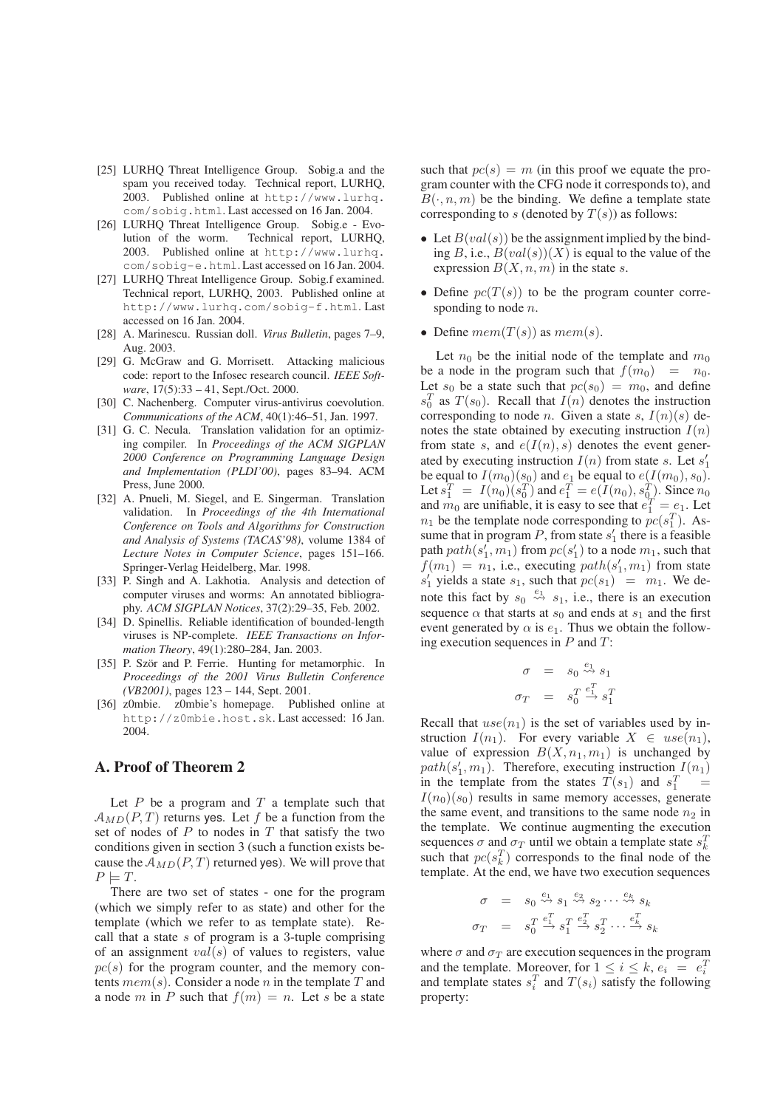- [25] LURHO Threat Intelligence Group. Sobig.a and the spam you received today. Technical report, LURHQ, 2003. Published online at http://www.lurhq. com/sobig.html. Last accessed on 16 Jan. 2004.
- [26] LURHQ Threat Intelligence Group. Sobig.e Evolution of the worm. Technical report, LURHQ, 2003. Published online at http://www.lurhq. com/sobig-e.html. Last accessed on 16 Jan. 2004.
- [27] LURHQ Threat Intelligence Group. Sobig.f examined. Technical report, LURHQ, 2003. Published online at http://www.lurhq.com/sobig-f.html. Last accessed on 16 Jan. 2004.
- [28] A. Marinescu. Russian doll. *Virus Bulletin*, pages 7–9, Aug. 2003.
- [29] G. McGraw and G. Morrisett. Attacking malicious code: report to the Infosec research council. *IEEE Software*, 17(5):33 – 41, Sept./Oct. 2000.
- [30] C. Nachenberg. Computer virus-antivirus coevolution. *Communications of the ACM*, 40(1):46–51, Jan. 1997.
- [31] G. C. Necula. Translation validation for an optimizing compiler. In *Proceedings of the ACM SIGPLAN 2000 Conference on Programming Language Design and Implementation (PLDI'00)*, pages 83–94. ACM Press, June 2000.
- [32] A. Pnueli, M. Siegel, and E. Singerman. Translation validation. In *Proceedings of the 4th International Conference on Tools and Algorithms for Construction and Analysis of Systems (TACAS'98)*, volume 1384 of *Lecture Notes in Computer Science*, pages 151–166. Springer-Verlag Heidelberg, Mar. 1998.
- [33] P. Singh and A. Lakhotia. Analysis and detection of computer viruses and worms: An annotated bibliography. *ACM SIGPLAN Notices*, 37(2):29–35, Feb. 2002.
- [34] D. Spinellis. Reliable identification of bounded-length viruses is NP-complete. *IEEE Transactions on Information Theory*, 49(1):280–284, Jan. 2003.
- [35] P. Ször and P. Ferrie. Hunting for metamorphic. In *Proceedings of the 2001 Virus Bulletin Conference (VB2001)*, pages 123 – 144, Sept. 2001.
- [36] z0mbie. z0mbie's homepage. Published online at http://z0mbie.host.sk. Last accessed: 16 Jan. 2004.

## **A. Proof of Theorem 2**

Let  $P$  be a program and  $T$  a template such that  $\mathcal{A}_{MD}(P, T)$  returns yes. Let f be a function from the set of nodes of  $P$  to nodes in  $T$  that satisfy the two conditions given in section 3 (such a function exists because the  $A_{MD}(P, T)$  returned yes). We will prove that  $P \models T$ .

There are two set of states - one for the program (which we simply refer to as state) and other for the template (which we refer to as template state). Recall that a state s of program is a 3-tuple comprising of an assignment  $val(s)$  of values to registers, value  $pc(s)$  for the program counter, and the memory contents  $mem(s)$ . Consider a node n in the template T and a node m in P such that  $f(m) = n$ . Let s be a state such that  $pc(s) = m$  (in this proof we equate the program counter with the CFG node it corresponds to), and  $B(\cdot, n, m)$  be the binding. We define a template state corresponding to s (denoted by  $T(s)$ ) as follows:

- Let  $B(val(s))$  be the assignment implied by the binding B, i.e.,  $B(val(s))(X)$  is equal to the value of the expression  $B(X, n, m)$  in the state s.
- Define  $pc(T(s))$  to be the program counter corresponding to node  $n$ .
- Define  $mem(T(s))$  as  $mem(s)$ .

Let  $n_0$  be the initial node of the template and  $m_0$ be a node in the program such that  $f(m_0) = n_0$ . Let  $s_0$  be a state such that  $pc(s_0) = m_0$ , and define  $s_0^T$  as  $T(s_0)$ . Recall that  $I(n)$  denotes the instruction corresponding to node *n*. Given a state *s*,  $I(n)(s)$  denotes the state obtained by executing instruction  $I(n)$ from state s, and  $e(I(n), s)$  denotes the event generated by executing instruction  $I(n)$  from state s. Let  $s'_1$ be equal to  $I(m_0)(s_0)$  and  $e_1$  be equal to  $e(I(m_0), s_0)$ . Let  $s_1^T = I(n_0)(s_0^T)$  and  $e_1^T = e(I(n_0), s_0^T)$ . Since  $n_0$ and  $m_0$  are unifiable, it is easy to see that  $e_1^T = e_1$ . Let  $n_1$  be the template node corresponding to  $pc(s_1^T)$ . Assume that in program  $P$ , from state  $s'_1$  there is a feasible path  $path(s'_1, m_1)$  from  $pc(s'_1)$  to a node  $m_1$ , such that  $f(m_1) = n_1$ , i.e., executing  $path(s'_1, m_1)$  from state  $s'_1$  yields a state  $s_1$ , such that  $pc(s_1) = m_1$ . We denote this fact by  $s_0 \stackrel{e_1}{\leadsto} s_1$ , i.e., there is an execution sequence  $\alpha$  that starts at  $s_0$  and ends at  $s_1$  and the first event generated by  $\alpha$  is  $e_1$ . Thus we obtain the following execution sequences in  $P$  and  $T$ :

$$
\begin{array}{rcl}\n\sigma & = & s_0 \stackrel{e_1}{\leadsto} s_1 \\
\sigma_T & = & s_0^T \stackrel{e_1^T}{\rightarrow} s_1^T\n\end{array}
$$

Recall that  $use(n_1)$  is the set of variables used by instruction  $I(n_1)$ . For every variable  $X \in use(n_1)$ , value of expression  $B(X, n_1, m_1)$  is unchanged by path( $s'_1$ ,  $m_1$ ). Therefore, executing instruction  $I(n_1)$ in the template from the states  $T(s_1)$  and  $s_1^T =$  $I(n_0)(s_0)$  results in same memory accesses, generate the same event, and transitions to the same node  $n_2$  in the template. We continue augmenting the execution sequences  $\sigma$  and  $\sigma_T$  until we obtain a template state  $s_k^T$ such that  $pc(s_k^T)$  corresponds to the final node of the template. At the end, we have two execution sequences

$$
\begin{array}{rcl}\n\sigma & = & s_0 \stackrel{e_1}{\leadsto} s_1 \stackrel{e_2}{\leadsto} s_2 \cdots \stackrel{e_k}{\leadsto} s_k \\
\sigma_T & = & s_0^T \stackrel{e_1^T}{\rightarrow} s_1^T \stackrel{e_2^T}{\rightarrow} s_2^T \cdots \stackrel{e_k^T}{\rightarrow} s_k\n\end{array}
$$

where  $\sigma$  and  $\sigma_T$  are execution sequences in the program and the template. Moreover, for  $1 \leq i \leq k$ ,  $e_i = e_i^T$ and template states  $s_i^T$  and  $T(s_i)$  satisfy the following property: